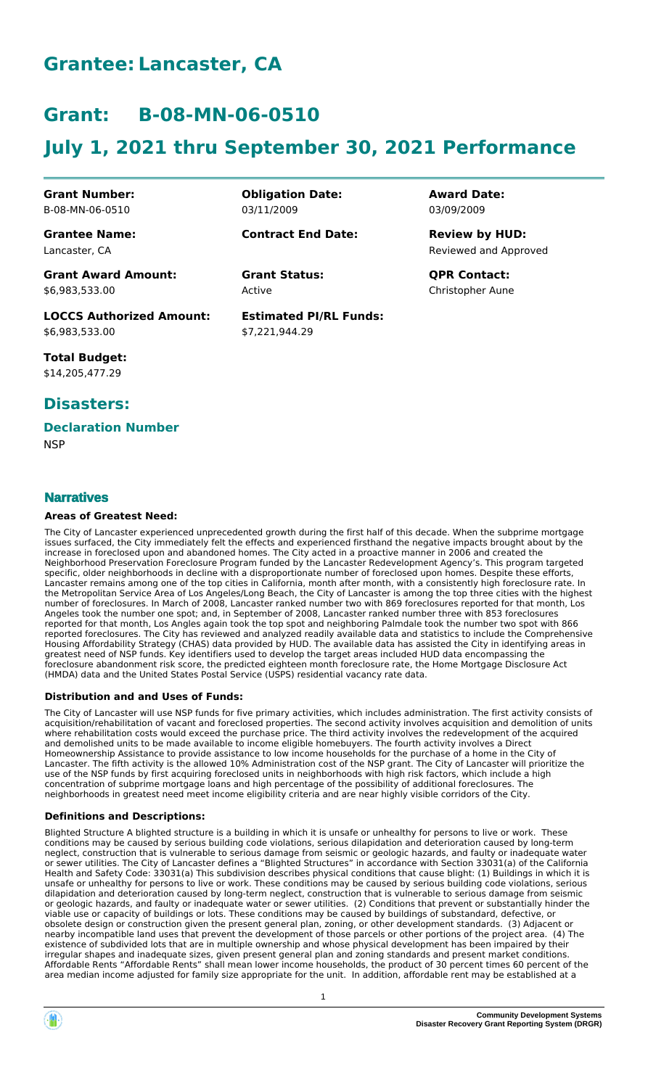# **Grantee: Lancaster, CA**

# **Grant: B-08-MN-06-0510**

# **July 1, 2021 thru September 30, 2021 Performance**

**Obligation Date:**

**Contract End Date:**

03/11/2009

Active

**Estimated PI/RL Funds:**

\$7,221,944.29

**Grant Number:** B-08-MN-06-0510

**Grantee Name:** Lancaster, CA

**Grant Award Amount:** \$6,983,533.00

**LOCCS Authorized Amount:** \$6,983,533.00

**Total Budget:** \$14,205,477.29

### **Disasters:**

# **Declaration Number**

**NSP** 

### **Narratives**

### **Areas of Greatest Need:**

The City of Lancaster experienced unprecedented growth during the first half of this decade. When the subprime mortgage issues surfaced, the City immediately felt the effects and experienced firsthand the negative impacts brought about by the increase in foreclosed upon and abandoned homes. The City acted in a proactive manner in 2006 and created the Neighborhood Preservation Foreclosure Program funded by the Lancaster Redevelopment Agency's. This program targeted specific, older neighborhoods in decline with a disproportionate number of foreclosed upon homes. Despite these efforts, Lancaster remains among one of the top cities in California, month after month, with a consistently high foreclosure rate. In the Metropolitan Service Area of Los Angeles/Long Beach, the City of Lancaster is among the top three cities with the highest number of foreclosures. In March of 2008, Lancaster ranked number two with 869 foreclosures reported for that month, Los Angeles took the number one spot; and, in September of 2008, Lancaster ranked number three with 853 foreclosures reported for that month, Los Angles again took the top spot and neighboring Palmdale took the number two spot with 866 reported foreclosures. The City has reviewed and analyzed readily available data and statistics to include the Comprehensive Housing Affordability Strategy (CHAS) data provided by HUD. The available data has assisted the City in identifying areas in greatest need of NSP funds. Key identifiers used to develop the target areas included HUD data encompassing the foreclosure abandonment risk score, the predicted eighteen month foreclosure rate, the Home Mortgage Disclosure Act (HMDA) data and the United States Postal Service (USPS) residential vacancy rate data.

### **Distribution and and Uses of Funds:**

The City of Lancaster will use NSP funds for five primary activities, which includes administration. The first activity consists of acquisition/rehabilitation of vacant and foreclosed properties. The second activity involves acquisition and demolition of units where rehabilitation costs would exceed the purchase price. The third activity involves the redevelopment of the acquired and demolished units to be made available to income eligible homebuyers. The fourth activity involves a Direct Homeownership Assistance to provide assistance to low income households for the purchase of a home in the City of Lancaster. The fifth activity is the allowed 10% Administration cost of the NSP grant. The City of Lancaster will prioritize the use of the NSP funds by first acquiring foreclosed units in neighborhoods with high risk factors, which include a high concentration of subprime mortgage loans and high percentage of the possibility of additional foreclosures. The neighborhoods in greatest need meet income eligibility criteria and are near highly visible corridors of the City.

### **Definitions and Descriptions:**

Blighted Structure A blighted structure is a building in which it is unsafe or unhealthy for persons to live or work. These conditions may be caused by serious building code violations, serious dilapidation and deterioration caused by long-term neglect, construction that is vulnerable to serious damage from seismic or geologic hazards, and faulty or inadequate water or sewer utilities. The City of Lancaster defines a "Blighted Structures" in accordance with Section 33031(a) of the California Health and Safety Code: 33031(a) This subdivision describes physical conditions that cause blight: (1) Buildings in which it is unsafe or unhealthy for persons to live or work. These conditions may be caused by serious building code violations, serious dilapidation and deterioration caused by long-term neglect, construction that is vulnerable to serious damage from seismic or geologic hazards, and faulty or inadequate water or sewer utilities. (2) Conditions that prevent or substantially hinder the viable use or capacity of buildings or lots. These conditions may be caused by buildings of substandard, defective, or obsolete design or construction given the present general plan, zoning, or other development standards. (3) Adjacent or nearby incompatible land uses that prevent the development of those parcels or other portions of the project area. (4) The existence of subdivided lots that are in multiple ownership and whose physical development has been impaired by their irregular shapes and inadequate sizes, given present general plan and zoning standards and present market conditions. Affordable Rents "Affordable Rents" shall mean lower income households, the product of 30 percent times 60 percent of the area median income adjusted for family size appropriate for the unit. In addition, affordable rent may be established at a



Reviewed and Approved **Review by HUD:**

**Grant Status: QPR Contact:** Christopher Aune

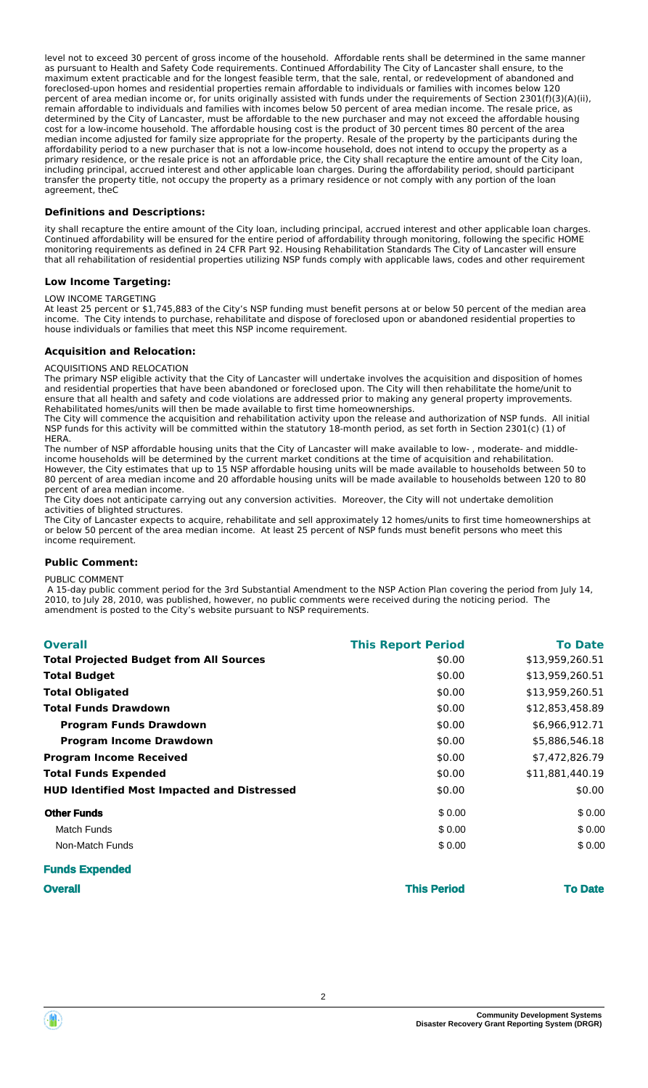level not to exceed 30 percent of gross income of the household. Affordable rents shall be determined in the same manner as pursuant to Health and Safety Code requirements. Continued Affordability The City of Lancaster shall ensure, to the maximum extent practicable and for the longest feasible term, that the sale, rental, or redevelopment of abandoned and foreclosed-upon homes and residential properties remain affordable to individuals or families with incomes below 120 percent of area median income or, for units originally assisted with funds under the requirements of Section 2301(f)(3)(A)(ii), remain affordable to individuals and families with incomes below 50 percent of area median income. The resale price, as determined by the City of Lancaster, must be affordable to the new purchaser and may not exceed the affordable housing cost for a low-income household. The affordable housing cost is the product of 30 percent times 80 percent of the area median income adjusted for family size appropriate for the property. Resale of the property by the participants during the affordability period to a new purchaser that is not a low-income household, does not intend to occupy the property as a primary residence, or the resale price is not an affordable price, the City shall recapture the entire amount of the City loan, including principal, accrued interest and other applicable loan charges. During the affordability period, should participant transfer the property title, not occupy the property as a primary residence or not comply with any portion of the loan agreement, theC

### **Definitions and Descriptions:**

ity shall recapture the entire amount of the City loan, including principal, accrued interest and other applicable loan charges. Continued affordability will be ensured for the entire period of affordability through monitoring, following the specific HOME monitoring requirements as defined in 24 CFR Part 92. Housing Rehabilitation Standards The City of Lancaster will ensure that all rehabilitation of residential properties utilizing NSP funds comply with applicable laws, codes and other requirement

#### **Low Income Targeting:**

#### LOW INCOME TARGETING

At least 25 percent or \$1,745,883 of the City's NSP funding must benefit persons at or below 50 percent of the median area<br>income. The City intends to purchase, rehabilitate and dispose of foreclosed upon or abandoned resi The City intends to purchase, rehabilitate and dispose of foreclosed upon or abandoned residential properties to house individuals or families that meet this NSP income requirement.

#### **Acquisition and Relocation:**

#### ACQUISITIONS AND RELOCATION

The primary NSP eligible activity that the City of Lancaster will undertake involves the acquisition and disposition of homes and residential properties that have been abandoned or foreclosed upon. The City will then rehabilitate the home/unit to ensure that all health and safety and code violations are addressed prior to making any general property improvements. Rehabilitated homes/units will then be made available to first time homeownerships.

The City will commence the acquisition and rehabilitation activity upon the release and authorization of NSP funds. All initial NSP funds for this activity will be committed within the statutory 18-month period, as set forth in Section 2301(c) (1) of HERA.

The number of NSP affordable housing units that the City of Lancaster will make available to low- , moderate- and middleincome households will be determined by the current market conditions at the time of acquisition and rehabilitation. However, the City estimates that up to 15 NSP affordable housing units will be made available to households between 50 to 80 percent of area median income and 20 affordable housing units will be made available to households between 120 to 80 percent of area median income.

.<br>The City does not anticipate carrying out any conversion activities. Moreover, the City will not undertake demolition activities of blighted structures.

The City of Lancaster expects to acquire, rehabilitate and sell approximately 12 homes/units to first time homeownerships at or below 50 percent of the area median income. At least 25 percent of NSP funds must benefit persons who meet this income requirement.

#### **Public Comment:**

#### PUBLIC COMMENT

 A 15-day public comment period for the 3rd Substantial Amendment to the NSP Action Plan covering the period from July 14, 2010, to July 28, 2010, was published, however, no public comments were received during the noticing period. The amendment is posted to the City's website pursuant to NSP requirements.

| <b>Overall</b>                                     | <b>This Report Period</b> | <b>To Date</b>  |
|----------------------------------------------------|---------------------------|-----------------|
| <b>Total Projected Budget from All Sources</b>     | \$0.00                    | \$13,959,260.51 |
| <b>Total Budget</b>                                | \$0.00                    | \$13,959,260.51 |
| <b>Total Obligated</b>                             | \$0.00                    | \$13,959,260.51 |
| <b>Total Funds Drawdown</b>                        | \$0.00                    | \$12,853,458.89 |
| <b>Program Funds Drawdown</b>                      | \$0.00                    | \$6,966,912.71  |
| <b>Program Income Drawdown</b>                     | \$0.00                    | \$5,886,546.18  |
| <b>Program Income Received</b>                     | \$0.00                    | \$7,472,826.79  |
| <b>Total Funds Expended</b>                        | \$0.00                    | \$11,881,440.19 |
| <b>HUD Identified Most Impacted and Distressed</b> | \$0.00                    | \$0.00          |
| <b>Other Funds</b>                                 | \$0.00                    | \$0.00          |
| Match Funds                                        | \$0.00                    | \$0.00          |
| Non-Match Funds                                    | \$0.00                    | \$0.00          |
|                                                    |                           |                 |

| <b>Funds Expended</b> |                    |                |
|-----------------------|--------------------|----------------|
| <b>Overall</b>        | <b>This Period</b> | <b>To Date</b> |
|                       |                    |                |